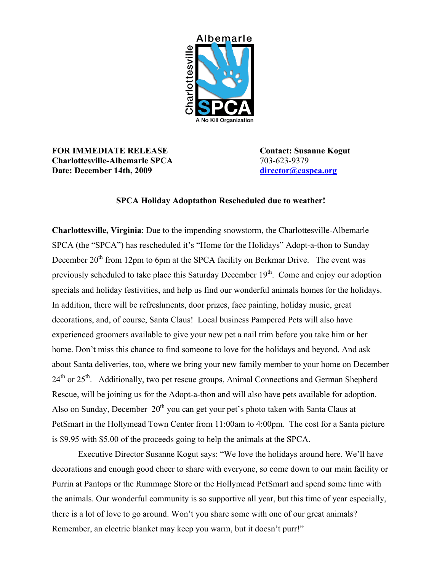

## **FOR IMMEDIATE RELEASE Contact: Susanne Kogut Charlottesville-Albemarle SPCA** 703-623-9379 **Date: December 14th, 2009 [director@caspca.org](mailto:director@caspca.org)**

## **SPCA Holiday Adoptathon Rescheduled due to weather!**

**Charlottesville, Virginia**: Due to the impending snowstorm, the Charlottesville-Albemarle SPCA (the "SPCA") has rescheduled it's "Home for the Holidays" Adopt-a-thon to Sunday December 20<sup>th</sup> from 12pm to 6pm at the SPCA facility on Berkmar Drive. The event was previously scheduled to take place this Saturday December  $19<sup>th</sup>$ . Come and enjoy our adoption specials and holiday festivities, and help us find our wonderful animals homes for the holidays. In addition, there will be refreshments, door prizes, face painting, holiday music, great decorations, and, of course, Santa Claus! Local business Pampered Pets will also have experienced groomers available to give your new pet a nail trim before you take him or her home. Don't miss this chance to find someone to love for the holidays and beyond. And ask about Santa deliveries, too, where we bring your new family member to your home on December 24<sup>th</sup> or 25<sup>th</sup>. Additionally, two pet rescue groups, Animal Connections and German Shepherd Rescue, will be joining us for the Adopt-a-thon and will also have pets available for adoption. Also on Sunday, December  $20<sup>th</sup>$  you can get your pet's photo taken with Santa Claus at PetSmart in the Hollymead Town Center from 11:00am to 4:00pm. The cost for a Santa picture is \$9.95 with \$5.00 of the proceeds going to help the animals at the SPCA.

Executive Director Susanne Kogut says: "We love the holidays around here. We'll have decorations and enough good cheer to share with everyone, so come down to our main facility or Purrin at Pantops or the Rummage Store or the Hollymead PetSmart and spend some time with the animals. Our wonderful community is so supportive all year, but this time of year especially, there is a lot of love to go around. Won't you share some with one of our great animals? Remember, an electric blanket may keep you warm, but it doesn't purr!"